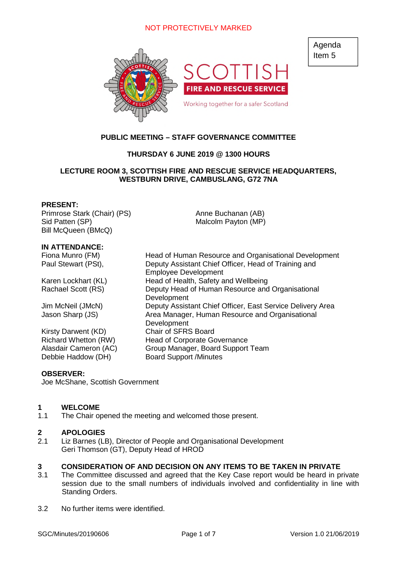

# **PUBLIC MEETING – STAFF GOVERNANCE COMMITTEE**

# **THURSDAY 6 JUNE 2019 @ 1300 HOURS**

# **LECTURE ROOM 3, SCOTTISH FIRE AND RESCUE SERVICE HEADQUARTERS, WESTBURN DRIVE, CAMBUSLANG, G72 7NA**

#### **PRESENT:**

Primrose Stark (Chair) (PS) Sid Patten (SP) Bill McQueen (BMcQ)

#### **IN ATTENDANCE:**

Kirsty Darwent (KD) Chair of SFRS Board Debbie Haddow (DH) Board Support /Minutes

Fiona Munro (FM) Head of Human Resource and Organisational Development Paul Stewart (PSt), Deputy Assistant Chief Officer, Head of Training and Employee Development Karen Lockhart (KL) Head of Health, Safety and Wellbeing Rachael Scott (RS) Deputy Head of Human Resource and Organisational **Development** Jim McNeil (JMcN) Deputy Assistant Chief Officer, East Service Delivery Area Jason Sharp (JS) Area Manager, Human Resource and Organisational Development Richard Whetton (RW) Head of Corporate Governance Alasdair Cameron (AC) Group Manager, Board Support Team

Anne Buchanan (AB) Malcolm Payton (MP)

#### **OBSERVER:**

Joe McShane, Scottish Government

#### **1 WELCOME**

1.1 The Chair opened the meeting and welcomed those present.

#### **2 APOLOGIES**

2.1 Liz Barnes (LB), Director of People and Organisational Development Geri Thomson (GT), Deputy Head of HROD

#### **3 CONSIDERATION OF AND DECISION ON ANY ITEMS TO BE TAKEN IN PRIVATE**

- 3.1 The Committee discussed and agreed that the Key Case report would be heard in private session due to the small numbers of individuals involved and confidentiality in line with Standing Orders.
- 3.2 No further items were identified.

Agenda Item 5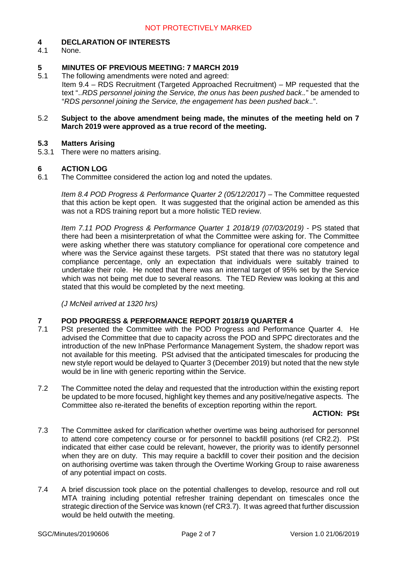# **4 DECLARATION OF INTERESTS**

None.

# **5 MINUTES OF PREVIOUS MEETING: 7 MARCH 2019**

5.1 The following amendments were noted and agreed: Item 9.4 – RDS Recruitment (Targeted Approached Recruitment) – MP requested that the text "..*RDS personnel joining the Service, the onus has been pushed back*.*.*" be amended to "*RDS personnel joining the Service, the engagement has been pushed back*.*.*".

#### 5.2 **Subject to the above amendment being made, the minutes of the meeting held on 7 March 2019 were approved as a true record of the meeting.**

## **5.3 Matters Arising**

5.3.1 There were no matters arising.

#### **6 ACTION LOG**

6.1 The Committee considered the action log and noted the updates.

*Item 8.4 POD Progress & Performance Quarter 2 (05/12/2017)* – The Committee requested that this action be kept open. It was suggested that the original action be amended as this was not a RDS training report but a more holistic TED review.

*Item 7.11 POD Progress & Performance Quarter 1 2018/19 (07/03/2019)* - PS stated that there had been a misinterpretation of what the Committee were asking for. The Committee were asking whether there was statutory compliance for operational core competence and where was the Service against these targets. PSt stated that there was no statutory legal compliance percentage, only an expectation that individuals were suitably trained to undertake their role. He noted that there was an internal target of 95% set by the Service which was not being met due to several reasons. The TED Review was looking at this and stated that this would be completed by the next meeting.

*(J McNeil arrived at 1320 hrs)*

#### **7 POD PROGRESS & PERFORMANCE REPORT 2018/19 QUARTER 4**

- 7.1 PSt presented the Committee with the POD Progress and Performance Quarter 4. He advised the Committee that due to capacity across the POD and SPPC directorates and the introduction of the new InPhase Performance Management System, the shadow report was not available for this meeting. PSt advised that the anticipated timescales for producing the new style report would be delayed to Quarter 3 (December 2019) but noted that the new style would be in line with generic reporting within the Service.
- 7.2 The Committee noted the delay and requested that the introduction within the existing report be updated to be more focused, highlight key themes and any positive/negative aspects. The Committee also re-iterated the benefits of exception reporting within the report.

#### **ACTION: PSt**

- 7.3 The Committee asked for clarification whether overtime was being authorised for personnel to attend core competency course or for personnel to backfill positions (ref CR2.2). PSt indicated that either case could be relevant, however, the priority was to identify personnel when they are on duty. This may require a backfill to cover their position and the decision on authorising overtime was taken through the Overtime Working Group to raise awareness of any potential impact on costs.
- 7.4 A brief discussion took place on the potential challenges to develop, resource and roll out MTA training including potential refresher training dependant on timescales once the strategic direction of the Service was known (ref CR3.7). It was agreed that further discussion would be held outwith the meeting.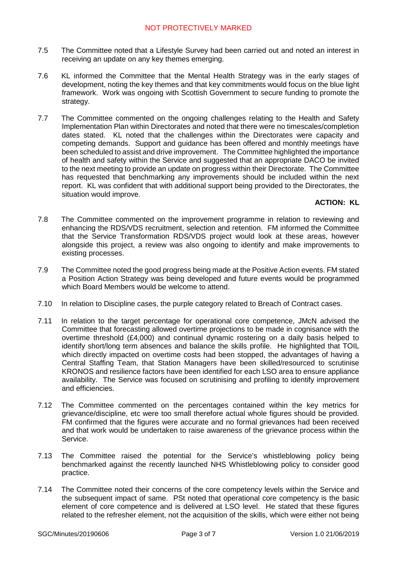- 7.5 The Committee noted that a Lifestyle Survey had been carried out and noted an interest in receiving an update on any key themes emerging.
- 7.6 KL informed the Committee that the Mental Health Strategy was in the early stages of development, noting the key themes and that key commitments would focus on the blue light framework. Work was ongoing with Scottish Government to secure funding to promote the strategy.
- 7.7 The Committee commented on the ongoing challenges relating to the Health and Safety Implementation Plan within Directorates and noted that there were no timescales/completion dates stated. KL noted that the challenges within the Directorates were capacity and competing demands. Support and guidance has been offered and monthly meetings have been scheduled to assist and drive improvement. The Committee highlighted the importance of health and safety within the Service and suggested that an appropriate DACO be invited to the next meeting to provide an update on progress within their Directorate. The Committee has requested that benchmarking any improvements should be included within the next report. KL was confident that with additional support being provided to the Directorates, the situation would improve.

# **ACTION: KL**

- 7.8 The Committee commented on the improvement programme in relation to reviewing and enhancing the RDS/VDS recruitment, selection and retention. FM informed the Committee that the Service Transformation RDS/VDS project would look at these areas, however alongside this project, a review was also ongoing to identify and make improvements to existing processes.
- 7.9 The Committee noted the good progress being made at the Positive Action events. FM stated a Position Action Strategy was being developed and future events would be programmed which Board Members would be welcome to attend.
- 7.10 In relation to Discipline cases, the purple category related to Breach of Contract cases.
- 7.11 In relation to the target percentage for operational core competence, JMcN advised the Committee that forecasting allowed overtime projections to be made in cognisance with the overtime threshold (£4,000) and continual dynamic rostering on a daily basis helped to identify short/long term absences and balance the skills profile. He highlighted that TOIL which directly impacted on overtime costs had been stopped, the advantages of having a Central Staffing Team, that Station Managers have been skilled/resourced to scrutinise KRONOS and resilience factors have been identified for each LSO area to ensure appliance availability. The Service was focused on scrutinising and profiling to identify improvement and efficiencies.
- 7.12 The Committee commented on the percentages contained within the key metrics for grievance/discipline, etc were too small therefore actual whole figures should be provided. FM confirmed that the figures were accurate and no formal grievances had been received and that work would be undertaken to raise awareness of the grievance process within the Service.
- 7.13 The Committee raised the potential for the Service's whistleblowing policy being benchmarked against the recently launched NHS Whistleblowing policy to consider good practice.
- 7.14 The Committee noted their concerns of the core competency levels within the Service and the subsequent impact of same. PSt noted that operational core competency is the basic element of core competence and is delivered at LSO level. He stated that these figures related to the refresher element, not the acquisition of the skills, which were either not being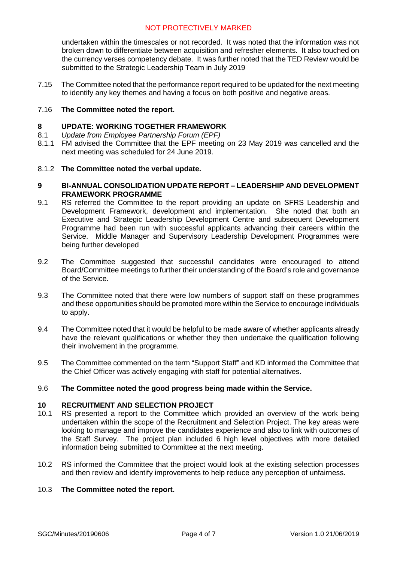undertaken within the timescales or not recorded. It was noted that the information was not broken down to differentiate between acquisition and refresher elements. It also touched on the currency verses competency debate. It was further noted that the TED Review would be submitted to the Strategic Leadership Team in July 2019

7.15 The Committee noted that the performance report required to be updated for the next meeting to identify any key themes and having a focus on both positive and negative areas.

#### 7.16 **The Committee noted the report.**

#### **8 UPDATE: WORKING TOGETHER FRAMEWORK**

- 8.1 *Update from Employee Partnership Forum (EPF)*
- 8.1.1 FM advised the Committee that the EPF meeting on 23 May 2019 was cancelled and the next meeting was scheduled for 24 June 2019.

#### 8.1.2 **The Committee noted the verbal update.**

#### **9 BI-ANNUAL CONSOLIDATION UPDATE REPORT – LEADERSHIP AND DEVELOPMENT FRAMEWORK PROGRAMME**

- 9.1 RS referred the Committee to the report providing an update on SFRS Leadership and Development Framework, development and implementation. She noted that both an Executive and Strategic Leadership Development Centre and subsequent Development Programme had been run with successful applicants advancing their careers within the Service. Middle Manager and Supervisory Leadership Development Programmes were being further developed
- 9.2 The Committee suggested that successful candidates were encouraged to attend Board/Committee meetings to further their understanding of the Board's role and governance of the Service.
- 9.3 The Committee noted that there were low numbers of support staff on these programmes and these opportunities should be promoted more within the Service to encourage individuals to apply.
- 9.4 The Committee noted that it would be helpful to be made aware of whether applicants already have the relevant qualifications or whether they then undertake the qualification following their involvement in the programme.
- 9.5 The Committee commented on the term "Support Staff" and KD informed the Committee that the Chief Officer was actively engaging with staff for potential alternatives.

#### 9.6 **The Committee noted the good progress being made within the Service.**

# **10 RECRUITMENT AND SELECTION PROJECT**

- 10.1 RS presented a report to the Committee which provided an overview of the work being undertaken within the scope of the Recruitment and Selection Project. The key areas were looking to manage and improve the candidates experience and also to link with outcomes of the Staff Survey. The project plan included 6 high level objectives with more detailed information being submitted to Committee at the next meeting.
- 10.2 RS informed the Committee that the project would look at the existing selection processes and then review and identify improvements to help reduce any perception of unfairness.

#### 10.3 **The Committee noted the report.**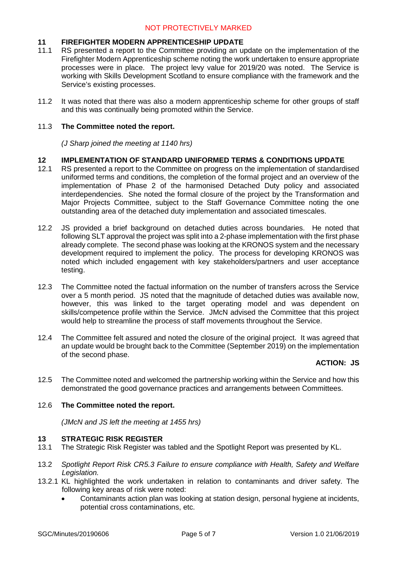# **11 FIREFIGHTER MODERN APPRENTICESHIP UPDATE**

- 11.1 RS presented a report to the Committee providing an update on the implementation of the Firefighter Modern Apprenticeship scheme noting the work undertaken to ensure appropriate processes were in place. The project levy value for 2019/20 was noted. The Service is working with Skills Development Scotland to ensure compliance with the framework and the Service's existing processes.
- 11.2 It was noted that there was also a modern apprenticeship scheme for other groups of staff and this was continually being promoted within the Service.

# 11.3 **The Committee noted the report.**

*(J Sharp joined the meeting at 1140 hrs)*

## **12 IMPLEMENTATION OF STANDARD UNIFORMED TERMS & CONDITIONS UPDATE**

- 12.1 RS presented a report to the Committee on progress on the implementation of standardised uniformed terms and conditions, the completion of the formal project and an overview of the implementation of Phase 2 of the harmonised Detached Duty policy and associated interdependencies. She noted the formal closure of the project by the Transformation and Major Projects Committee, subject to the Staff Governance Committee noting the one outstanding area of the detached duty implementation and associated timescales.
- 12.2 JS provided a brief background on detached duties across boundaries. He noted that following SLT approval the project was split into a 2-phase implementation with the first phase already complete. The second phase was looking at the KRONOS system and the necessary development required to implement the policy. The process for developing KRONOS was noted which included engagement with key stakeholders/partners and user acceptance testing.
- 12.3 The Committee noted the factual information on the number of transfers across the Service over a 5 month period. JS noted that the magnitude of detached duties was available now, however, this was linked to the target operating model and was dependent on skills/competence profile within the Service. JMcN advised the Committee that this project would help to streamline the process of staff movements throughout the Service.
- 12.4 The Committee felt assured and noted the closure of the original project. It was agreed that an update would be brought back to the Committee (September 2019) on the implementation of the second phase.

# **ACTION: JS**

12.5 The Committee noted and welcomed the partnership working within the Service and how this demonstrated the good governance practices and arrangements between Committees.

# 12.6 **The Committee noted the report.**

*(JMcN and JS left the meeting at 1455 hrs)*

#### **13 STRATEGIC RISK REGISTER**

- 13.1 The Strategic Risk Register was tabled and the Spotlight Report was presented by KL.
- 13.2 *Spotlight Report Risk CR5.3 Failure to ensure compliance with Health, Safety and Welfare Legislation.*
- 13.2.1 KL highlighted the work undertaken in relation to contaminants and driver safety. The following key areas of risk were noted:
	- Contaminants action plan was looking at station design, personal hygiene at incidents, potential cross contaminations, etc.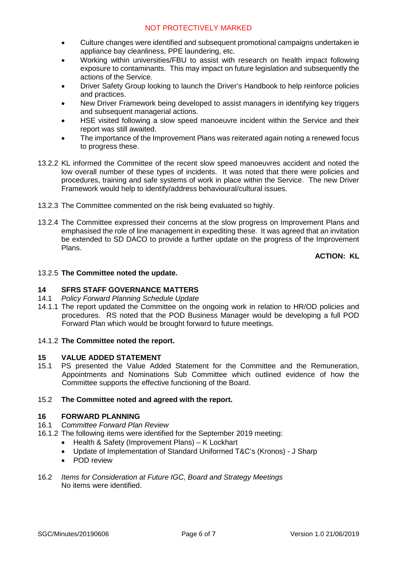- Culture changes were identified and subsequent promotional campaigns undertaken ie appliance bay cleanliness, PPE laundering, etc.
- Working within universities/FBU to assist with research on health impact following exposure to contaminants. This may impact on future legislation and subsequently the actions of the Service.
- Driver Safety Group looking to launch the Driver's Handbook to help reinforce policies and practices.
- New Driver Framework being developed to assist managers in identifying key triggers and subsequent managerial actions.
- HSE visited following a slow speed manoeuvre incident within the Service and their report was still awaited.
- The importance of the Improvement Plans was reiterated again noting a renewed focus to progress these.
- 13.2.2 KL informed the Committee of the recent slow speed manoeuvres accident and noted the low overall number of these types of incidents. It was noted that there were policies and procedures, training and safe systems of work in place within the Service. The new Driver Framework would help to identify/address behavioural/cultural issues.
- 13.2.3 The Committee commented on the risk being evaluated so highly.
- 13.2.4 The Committee expressed their concerns at the slow progress on Improvement Plans and emphasised the role of line management in expediting these. It was agreed that an invitation be extended to SD DACO to provide a further update on the progress of the Improvement Plans.

**ACTION: KL**

## 13.2.5 **The Committee noted the update.**

# **14 SFRS STAFF GOVERNANCE MATTERS**

- 14.1 *Policy Forward Planning Schedule Update*
- 14.1.1 The report updated the Committee on the ongoing work in relation to HR/OD policies and procedures. RS noted that the POD Business Manager would be developing a full POD Forward Plan which would be brought forward to future meetings.

#### 14.1.2 **The Committee noted the report.**

#### **15 VALUE ADDED STATEMENT**

15.1 PS presented the Value Added Statement for the Committee and the Remuneration, Appointments and Nominations Sub Committee which outlined evidence of how the Committee supports the effective functioning of the Board.

#### 15.2 **The Committee noted and agreed with the report.**

#### **16 FORWARD PLANNING**

# 16.1 *Committee Forward Plan Review*

- 16.1.2 The following items were identified for the September 2019 meeting:
	- Health & Safety (Improvement Plans) K Lockhart
	- Update of Implementation of Standard Uniformed T&C's (Kronos) J Sharp
	- POD review
- 16.2 *Items for Consideration at Future IGC, Board and Strategy Meetings* No items were identified.